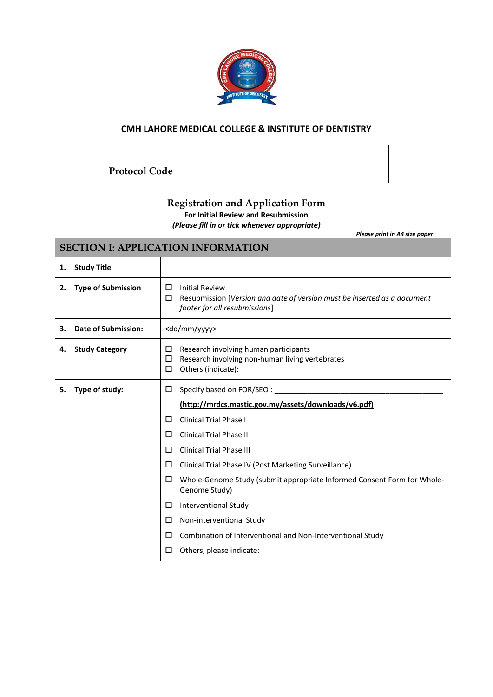

## **CMH LAHORE MEDICAL COLLEGE & INSTITUTE OF DENTISTRY**

**Protocol Code**

Г

## **Registration and Application Form**

**For Initial Review and Resubmission**

*(Please fill in or tick whenever appropriate)*

*Please print in A4 size paper*

۰

| <b>SECTION I: APPLICATION INFORMATION</b> |                            |                                                                                                                                              |  |
|-------------------------------------------|----------------------------|----------------------------------------------------------------------------------------------------------------------------------------------|--|
| 1.                                        | <b>Study Title</b>         |                                                                                                                                              |  |
| 2.                                        | <b>Type of Submission</b>  | <b>Initial Review</b><br>□<br>□<br>Resubmission [Version and date of version must be inserted as a document<br>footer for all resubmissions] |  |
| 3.                                        | <b>Date of Submission:</b> | <dd mm="" yyyy=""></dd>                                                                                                                      |  |
| 4.                                        | <b>Study Category</b>      | Research involving human participants<br>□<br>Research involving non-human living vertebrates<br>□<br>Others (indicate):<br>□                |  |
| 5.                                        | Type of study:             | Specify based on FOR/SEO:<br>□                                                                                                               |  |
|                                           |                            | (http://mrdcs.mastic.gov.my/assets/downloads/v6.pdf)                                                                                         |  |
|                                           |                            | <b>Clinical Trial Phase I</b><br>□                                                                                                           |  |
|                                           |                            | Clinical Trial Phase II<br>ப                                                                                                                 |  |
|                                           |                            | <b>Clinical Trial Phase III</b><br>□                                                                                                         |  |
|                                           |                            | Clinical Trial Phase IV (Post Marketing Surveillance)<br>□                                                                                   |  |
|                                           |                            | Whole-Genome Study (submit appropriate Informed Consent Form for Whole-<br>□<br>Genome Study)                                                |  |
|                                           |                            | <b>Interventional Study</b><br>□                                                                                                             |  |
|                                           |                            | Non-interventional Study<br>□                                                                                                                |  |
|                                           |                            | Combination of Interventional and Non-Interventional Study<br>ш                                                                              |  |
|                                           |                            | Others, please indicate:<br>□                                                                                                                |  |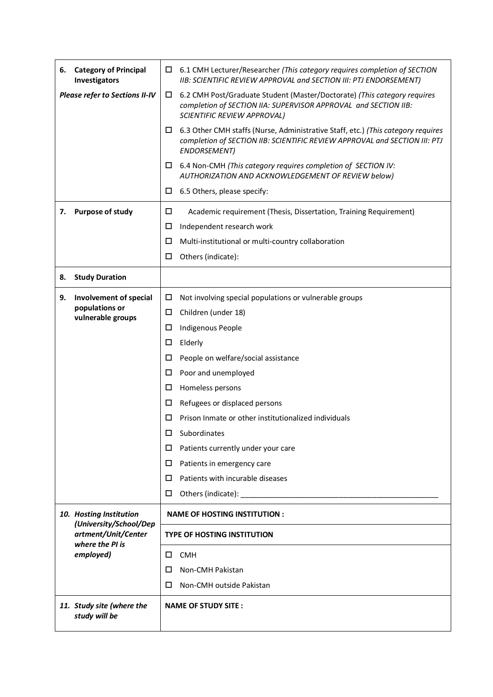| 6.                                    | <b>Category of Principal</b><br>Investigators | $\Box$ | 6.1 CMH Lecturer/Researcher (This category requires completion of SECTION<br>IIB: SCIENTIFIC REVIEW APPROVAL and SECTION III: PTJ ENDORSEMENT)                                        |
|---------------------------------------|-----------------------------------------------|--------|---------------------------------------------------------------------------------------------------------------------------------------------------------------------------------------|
| <b>Please refer to Sections II-IV</b> |                                               | $\Box$ | 6.2 CMH Post/Graduate Student (Master/Doctorate) (This category requires<br>completion of SECTION IIA: SUPERVISOR APPROVAL and SECTION IIB:<br>SCIENTIFIC REVIEW APPROVAL)            |
|                                       |                                               | $\Box$ | 6.3 Other CMH staffs (Nurse, Administrative Staff, etc.) (This category requires<br>completion of SECTION IIB: SCIENTIFIC REVIEW APPROVAL and SECTION III: PTJ<br><b>ENDORSEMENT)</b> |
|                                       |                                               | □      | 6.4 Non-CMH (This category requires completion of SECTION IV:<br>AUTHORIZATION AND ACKNOWLEDGEMENT OF REVIEW below)                                                                   |
|                                       |                                               | □      | 6.5 Others, please specify:                                                                                                                                                           |
| 7.                                    | Purpose of study                              | $\Box$ | Academic requirement (Thesis, Dissertation, Training Requirement)                                                                                                                     |
|                                       |                                               | □      | Independent research work                                                                                                                                                             |
|                                       |                                               | □      | Multi-institutional or multi-country collaboration                                                                                                                                    |
|                                       |                                               | □      | Others (indicate):                                                                                                                                                                    |
| 8.                                    | <b>Study Duration</b>                         |        |                                                                                                                                                                                       |
| 9.                                    | Involvement of special                        | □      | Not involving special populations or vulnerable groups                                                                                                                                |
|                                       | populations or<br>vulnerable groups           | □      | Children (under 18)                                                                                                                                                                   |
|                                       |                                               | □      | Indigenous People                                                                                                                                                                     |
|                                       |                                               | □      | Elderly                                                                                                                                                                               |
|                                       |                                               | □      | People on welfare/social assistance                                                                                                                                                   |
|                                       |                                               | □      | Poor and unemployed                                                                                                                                                                   |
|                                       |                                               | ш      | Homeless persons                                                                                                                                                                      |
|                                       |                                               | ப      | Refugees or displaced persons                                                                                                                                                         |
|                                       |                                               | ப      | Prison Inmate or other institutionalized individuals                                                                                                                                  |
|                                       |                                               | □      | Subordinates                                                                                                                                                                          |
|                                       |                                               | □      | Patients currently under your care                                                                                                                                                    |
|                                       |                                               | □      | Patients in emergency care                                                                                                                                                            |
|                                       |                                               | □      | Patients with incurable diseases                                                                                                                                                      |
|                                       |                                               | □      |                                                                                                                                                                                       |
|                                       | 10. Hosting Institution                       |        | <b>NAME OF HOSTING INSTITUTION:</b>                                                                                                                                                   |
|                                       | (University/School/Dep<br>artment/Unit/Center |        | <b>TYPE OF HOSTING INSTITUTION</b>                                                                                                                                                    |
|                                       | where the PI is<br>employed)                  |        | <b>CMH</b>                                                                                                                                                                            |
|                                       |                                               | □      | Non-CMH Pakistan                                                                                                                                                                      |
|                                       |                                               | □      | Non-CMH outside Pakistan                                                                                                                                                              |
|                                       | 11. Study site (where the<br>study will be    |        | <b>NAME OF STUDY SITE :</b>                                                                                                                                                           |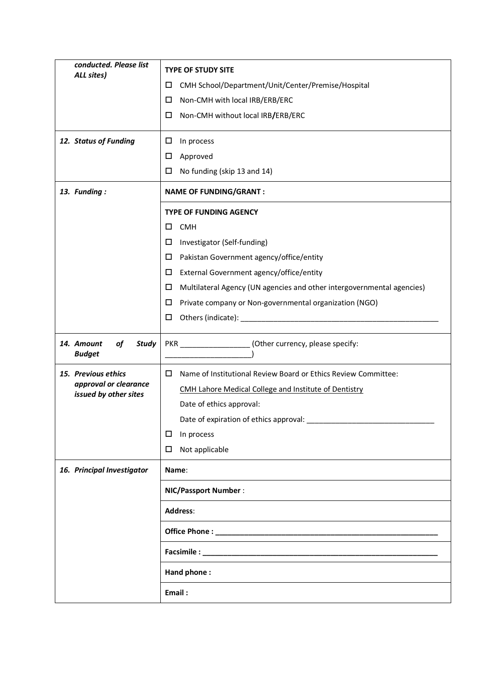| conducted. Please list<br>ALL sites)              | <b>TYPE OF STUDY SITE</b>                                                                                                                                                                                                          |  |
|---------------------------------------------------|------------------------------------------------------------------------------------------------------------------------------------------------------------------------------------------------------------------------------------|--|
|                                                   | CMH School/Department/Unit/Center/Premise/Hospital<br>□                                                                                                                                                                            |  |
|                                                   | Non-CMH with local IRB/ERB/ERC<br>□                                                                                                                                                                                                |  |
|                                                   | Non-CMH without local IRB/ERB/ERC<br>□                                                                                                                                                                                             |  |
| 12. Status of Funding                             | □<br>In process                                                                                                                                                                                                                    |  |
|                                                   | Approved<br>□                                                                                                                                                                                                                      |  |
|                                                   | No funding (skip 13 and 14)<br>□                                                                                                                                                                                                   |  |
| 13. Funding:                                      | <b>NAME OF FUNDING/GRANT:</b>                                                                                                                                                                                                      |  |
|                                                   | <b>TYPE OF FUNDING AGENCY</b>                                                                                                                                                                                                      |  |
|                                                   | <b>CMH</b><br>□                                                                                                                                                                                                                    |  |
|                                                   | Investigator (Self-funding)<br>□                                                                                                                                                                                                   |  |
|                                                   | Pakistan Government agency/office/entity<br>□                                                                                                                                                                                      |  |
|                                                   | External Government agency/office/entity<br>□                                                                                                                                                                                      |  |
|                                                   | Multilateral Agency (UN agencies and other intergovernmental agencies)<br>□                                                                                                                                                        |  |
|                                                   | Private company or Non-governmental organization (NGO)<br>□                                                                                                                                                                        |  |
|                                                   | Others (indicate): Notified a series of the series of the series of the series of the series of the series of the series of the series of the series of the series of the series of the series of the series of the series of<br>□ |  |
|                                                   |                                                                                                                                                                                                                                    |  |
| 14. Amount<br>of<br><b>Study</b><br><b>Budget</b> | PKR __________________(Other currency, please specify:                                                                                                                                                                             |  |
| 15. Previous ethics                               | Name of Institutional Review Board or Ethics Review Committee:<br>$\Box$                                                                                                                                                           |  |
| approval or clearance                             | CMH Lahore Medical College and Institute of Dentistry                                                                                                                                                                              |  |
| issued by other sites                             | Date of ethics approval:                                                                                                                                                                                                           |  |
|                                                   | Date of expiration of ethics approval: __________                                                                                                                                                                                  |  |
|                                                   | In process<br>□                                                                                                                                                                                                                    |  |
|                                                   | Not applicable<br>⊔                                                                                                                                                                                                                |  |
| 16. Principal Investigator                        | Name:                                                                                                                                                                                                                              |  |
|                                                   | <b>NIC/Passport Number:</b>                                                                                                                                                                                                        |  |
|                                                   | Address:                                                                                                                                                                                                                           |  |
|                                                   |                                                                                                                                                                                                                                    |  |
|                                                   | Facsimile: __________                                                                                                                                                                                                              |  |
|                                                   | Hand phone:                                                                                                                                                                                                                        |  |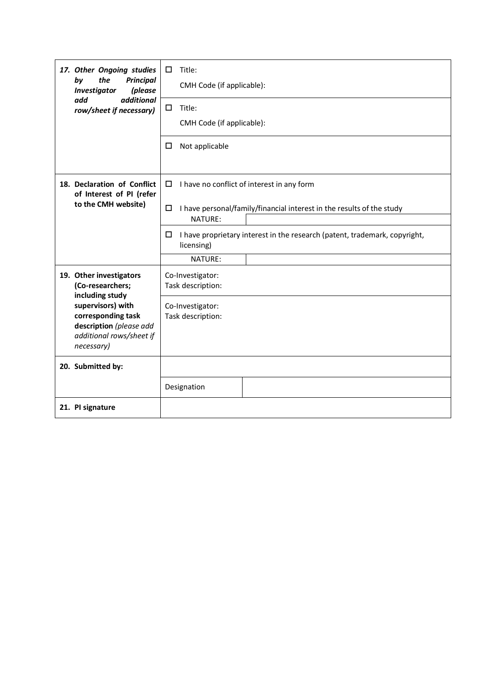| by                | 17. Other Ongoing studies<br>the<br><b>Principal</b><br>(please<br><b>Investigator</b><br>additional<br>add<br>row/sheet if necessary)                                         | Title:<br>□<br>CMH Code (if applicable):                                                      |
|-------------------|--------------------------------------------------------------------------------------------------------------------------------------------------------------------------------|-----------------------------------------------------------------------------------------------|
|                   |                                                                                                                                                                                | Title:<br>□                                                                                   |
|                   |                                                                                                                                                                                | CMH Code (if applicable):                                                                     |
|                   |                                                                                                                                                                                | Not applicable<br>□                                                                           |
|                   | 18. Declaration of Conflict<br>of Interest of PI (refer                                                                                                                        | I have no conflict of interest in any form<br>□                                               |
|                   | to the CMH website)                                                                                                                                                            | I have personal/family/financial interest in the results of the study<br>□<br>NATURE:         |
|                   |                                                                                                                                                                                | I have proprietary interest in the research (patent, trademark, copyright,<br>□<br>licensing) |
|                   |                                                                                                                                                                                | NATURE:                                                                                       |
|                   | 19. Other investigators<br>(Co-researchers;<br>including study<br>supervisors) with<br>corresponding task<br>description (please add<br>additional rows/sheet if<br>necessary) | Co-Investigator:<br>Task description:                                                         |
|                   |                                                                                                                                                                                | Co-Investigator:<br>Task description:                                                         |
|                   |                                                                                                                                                                                |                                                                                               |
| 20. Submitted by: |                                                                                                                                                                                |                                                                                               |
|                   |                                                                                                                                                                                | Designation                                                                                   |
| 21. PI signature  |                                                                                                                                                                                |                                                                                               |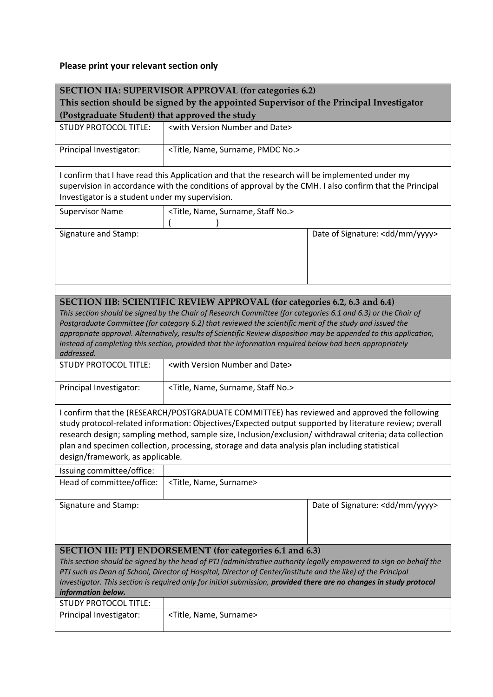## **Please print your relevant section only**

| <b>SECTION IIA: SUPERVISOR APPROVAL (for categories 6.2)</b><br>This section should be signed by the appointed Supervisor of the Principal Investigator                                                                                                                                                                                                                                                                                                                                                                                                      |                                                        |                                  |  |
|--------------------------------------------------------------------------------------------------------------------------------------------------------------------------------------------------------------------------------------------------------------------------------------------------------------------------------------------------------------------------------------------------------------------------------------------------------------------------------------------------------------------------------------------------------------|--------------------------------------------------------|----------------------------------|--|
| (Postgraduate Student) that approved the study                                                                                                                                                                                                                                                                                                                                                                                                                                                                                                               |                                                        |                                  |  |
| <b>STUDY PROTOCOL TITLE:</b>                                                                                                                                                                                                                                                                                                                                                                                                                                                                                                                                 | <with and="" date="" number="" version=""></with>      |                                  |  |
| Principal Investigator:                                                                                                                                                                                                                                                                                                                                                                                                                                                                                                                                      | <title, name,="" no.="" pmdc="" surname,=""></title,>  |                                  |  |
| I confirm that I have read this Application and that the research will be implemented under my<br>supervision in accordance with the conditions of approval by the CMH. I also confirm that the Principal<br>Investigator is a student under my supervision.                                                                                                                                                                                                                                                                                                 |                                                        |                                  |  |
| <b>Supervisor Name</b>                                                                                                                                                                                                                                                                                                                                                                                                                                                                                                                                       | <title, name,="" no.="" staff="" surname,=""></title,> |                                  |  |
| Signature and Stamp:                                                                                                                                                                                                                                                                                                                                                                                                                                                                                                                                         |                                                        | Date of Signature: < dd/mm/yyyy> |  |
|                                                                                                                                                                                                                                                                                                                                                                                                                                                                                                                                                              |                                                        |                                  |  |
| <b>SECTION IIB: SCIENTIFIC REVIEW APPROVAL (for categories 6.2, 6.3 and 6.4)</b><br>This section should be signed by the Chair of Research Committee (for categories 6.1 and 6.3) or the Chair of<br>Postgraduate Committee (for category 6.2) that reviewed the scientific merit of the study and issued the<br>appropriate approval. Alternatively, results of Scientific Review disposition may be appended to this application,<br>instead of completing this section, provided that the information required below had been appropriately<br>addressed. |                                                        |                                  |  |
| <b>STUDY PROTOCOL TITLE:</b>                                                                                                                                                                                                                                                                                                                                                                                                                                                                                                                                 | <with and="" date="" number="" version=""></with>      |                                  |  |
| Principal Investigator:                                                                                                                                                                                                                                                                                                                                                                                                                                                                                                                                      | <title, name,="" no.="" staff="" surname,=""></title,> |                                  |  |
| I confirm that the (RESEARCH/POSTGRADUATE COMMITTEE) has reviewed and approved the following<br>study protocol-related information: Objectives/Expected output supported by literature review; overall<br>research design; sampling method, sample size, Inclusion/exclusion/ withdrawal criteria; data collection<br>plan and specimen collection, processing, storage and data analysis plan including statistical<br>design/framework, as applicable.                                                                                                     |                                                        |                                  |  |
| Issuing committee/office:<br>Head of committee/office:                                                                                                                                                                                                                                                                                                                                                                                                                                                                                                       | <title, name,="" surname=""></title,>                  |                                  |  |
|                                                                                                                                                                                                                                                                                                                                                                                                                                                                                                                                                              |                                                        |                                  |  |
| Signature and Stamp:                                                                                                                                                                                                                                                                                                                                                                                                                                                                                                                                         |                                                        | Date of Signature: < dd/mm/yyyy> |  |
| <b>SECTION III: PTJ ENDORSEMENT (for categories 6.1 and 6.3)</b><br>This section should be signed by the head of PTJ (administrative authority legally empowered to sign on behalf the<br>PTJ such as Dean of School, Director of Hospital, Director of Center/Institute and the like) of the Principal<br>Investigator. This section is required only for initial submission, provided there are no changes in study protocol<br>information below.                                                                                                         |                                                        |                                  |  |
| <b>STUDY PROTOCOL TITLE:</b>                                                                                                                                                                                                                                                                                                                                                                                                                                                                                                                                 |                                                        |                                  |  |
| Principal Investigator:                                                                                                                                                                                                                                                                                                                                                                                                                                                                                                                                      | <title, name,="" surname=""></title,>                  |                                  |  |